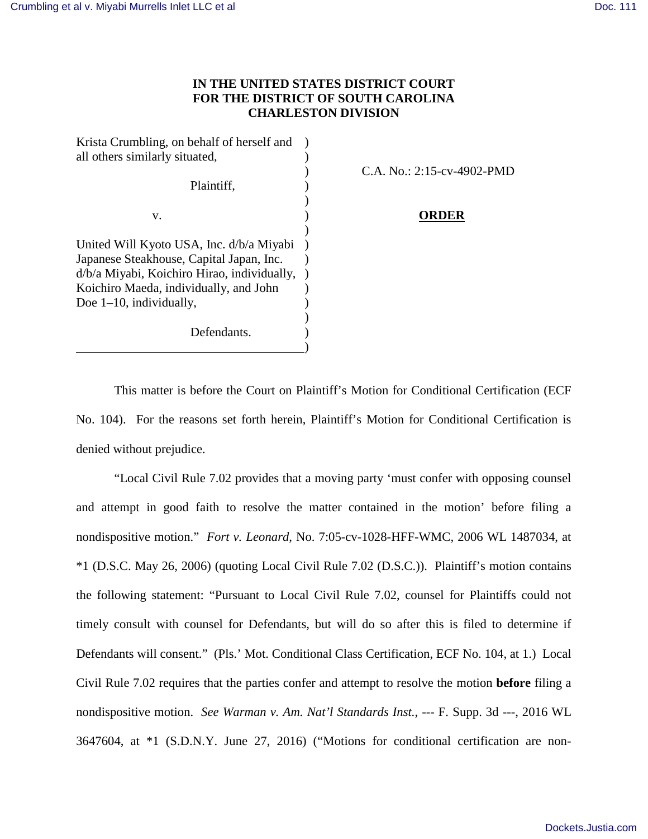## **IN THE UNITED STATES DISTRICT COURT FOR THE DISTRICT OF SOUTH CAROLINA CHARLESTON DIVISION**

Krista Crumbling, on behalf of herself and ) all others similarly situated,  $\qquad \qquad$ ) Plaintiff, )  $\overline{\phantom{a}}$ v. ) **ORDER**  $\overline{\phantom{a}}$ United Will Kyoto USA, Inc. d/b/a Miyabi ) Japanese Steakhouse, Capital Japan, Inc. ) d/b/a Miyabi, Koichiro Hirao, individually, ) Koichiro Maeda, individually, and John ) Doe 1–10, individually,  $)$ Defendants.  $\hspace{1.5cm}$  ) and the contract of the contract of the contract of the contract of the contract of the contract of the contract of the contract of the contract of the contract of the contract of the contract of the contrac

) C.A. No.: 2:15-cv-4902-PMD

This matter is before the Court on Plaintiff's Motion for Conditional Certification (ECF No. 104). For the reasons set forth herein, Plaintiff's Motion for Conditional Certification is denied without prejudice.

"Local Civil Rule 7.02 provides that a moving party 'must confer with opposing counsel and attempt in good faith to resolve the matter contained in the motion' before filing a nondispositive motion." *Fort v. Leonard*, No. 7:05-cv-1028-HFF-WMC, 2006 WL 1487034, at \*1 (D.S.C. May 26, 2006) (quoting Local Civil Rule 7.02 (D.S.C.)). Plaintiff's motion contains the following statement: "Pursuant to Local Civil Rule 7.02, counsel for Plaintiffs could not timely consult with counsel for Defendants, but will do so after this is filed to determine if Defendants will consent." (Pls.' Mot. Conditional Class Certification, ECF No. 104, at 1.) Local Civil Rule 7.02 requires that the parties confer and attempt to resolve the motion **before** filing a nondispositive motion. *See Warman v. Am. Nat'l Standards Inst.*, --- F. Supp. 3d ---, 2016 WL 3647604, at \*1 (S.D.N.Y. June 27, 2016) ("Motions for conditional certification are non-